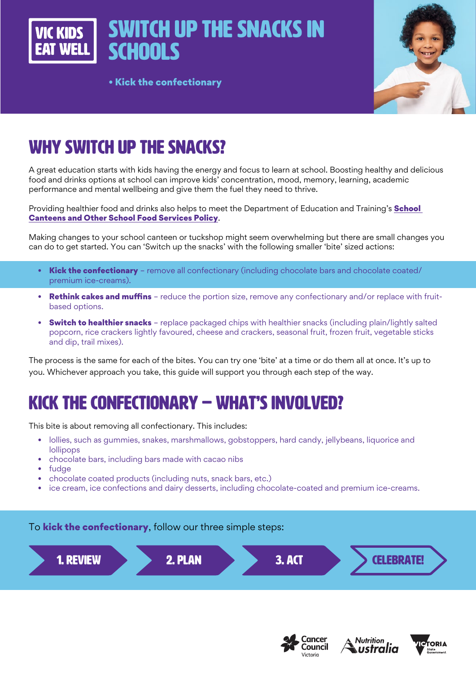Switch up the snacks in **SCHOOLS** 

• Kick the confectionary



# WHY SWITCH UP THE SNACKS?

A great education starts with kids having the energy and focus to learn at school. Boosting healthy and delicious food and drinks options at school can improve kids' concentration, mood, memory, learning, academic performance and mental wellbeing and give them the fuel they need to thrive.

Providing healthier food and drinks also helps to meet the Department of Education and Training's School [Canteens and Other School Food Services Policy](https://www2.education.vic.gov.au/pal/canteens-and-healthy-eating/policy).

Making changes to your school canteen or tuckshop might seem overwhelming but there are small changes you can do to get started. You can 'Switch up the snacks' with the following smaller 'bite' sized actions:

- Kick the confectionary remove all confectionary (including chocolate bars and chocolate coated/ premium ice-creams).
- **Rethink cakes and muffins** reduce the portion size, remove any confectionary and/or replace with fruitbased options.
- Switch to healthier snacks replace packaged chips with healthier snacks (including plain/lightly salted popcorn, rice crackers lightly favoured, cheese and crackers, seasonal fruit, frozen fruit, vegetable sticks and dip, trail mixes).

The process is the same for each of the bites. You can try one 'bite' at a time or do them all at once. It's up to you. Whichever approach you take, this guide will support you through each step of the way.

# KICK THE CONFECTIONARY – WHAT'S INVOLVED?

This bite is about removing all confectionary. This includes:

- lollies, such as gummies, snakes, marshmallows, gobstoppers, hard candy, jellybeans, liquorice and lollipops
- chocolate bars, including bars made with cacao nibs
- fudge
- chocolate coated products (including nuts, snack bars, etc.)
- ice cream, ice confections and dairy desserts, including chocolate-coated and premium ice-creams.

#### To **kick the confectionary**, follow our three simple steps:







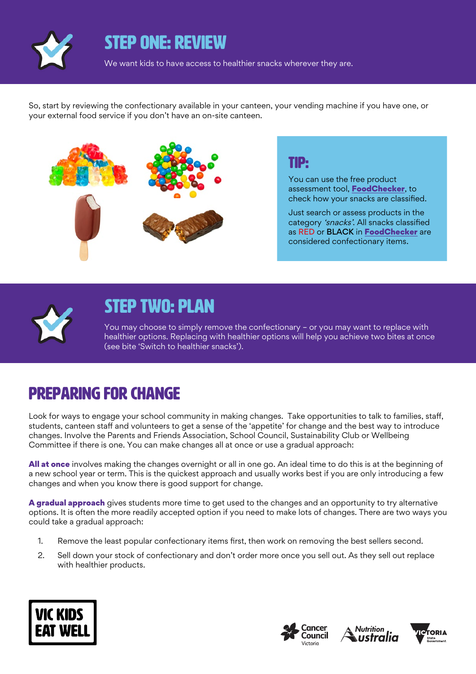

### STEP ONE: REVIEW

We want kids to have access to healthier snacks wherever they are.

So, start by reviewing the confectionary available in your canteen, your vending machine if you have one, or your external food service if you don't have an on-site canteen.



#### TIP:

You can use the free product assessment tool, [FoodChecker](https://foodchecker.heas.health.vic.gov.au/), to check how your snacks are classified.

Just search or assess products in the category 'snacks'. All snacks classified as RED or BLACK in [FoodChecker](https://foodchecker.heas.health.vic.gov.au/) are considered confectionary items.



## STEP TWO: PLAN

You may choose to simply remove the confectionary – or you may want to replace with healthier options. Replacing with healthier options will help you achieve two bites at once (see bite 'Switch to healthier snacks').

## Preparing for change

Look for ways to engage your school community in making changes. Take opportunities to talk to families, staff, students, canteen staff and volunteers to get a sense of the 'appetite' for change and the best way to introduce changes. Involve the Parents and Friends Association, School Council, Sustainability Club or Wellbeing Committee if there is one. You can make changes all at once or use a gradual approach:

All at once involves making the changes overnight or all in one go. An ideal time to do this is at the beginning of a new school year or term. This is the quickest approach and usually works best if you are only introducing a few changes and when you know there is good support for change.

A gradual approach gives students more time to get used to the changes and an opportunity to try alternative options. It is often the more readily accepted option if you need to make lots of changes. There are two ways you could take a gradual approach:

- 1. Remove the least popular confectionary items first, then work on removing the best sellers second.
- 2. Sell down your stock of confectionary and don't order more once you sell out. As they sell out replace with healthier products.







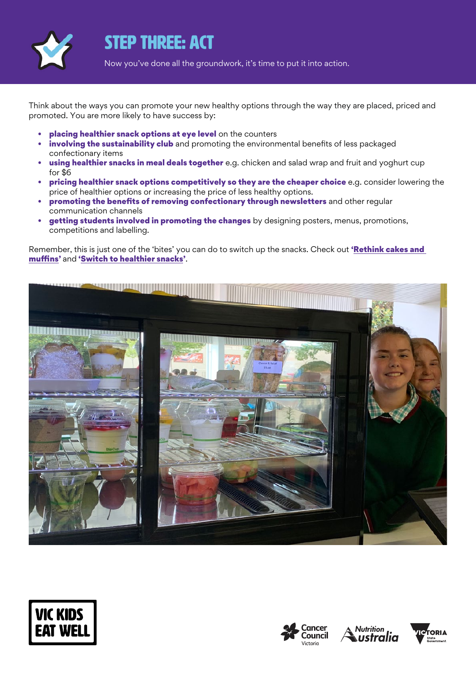

## STEP THREE: ACT

Now you've done all the groundwork, it's time to put it into action.

Think about the ways you can promote your new healthy options through the way they are placed, priced and promoted. You are more likely to have success by:

- placing healthier snack options at eye level on the counters
- involving the sustainability club and promoting the environmental benefits of less packaged confectionary items
- using healthier snacks in meal deals together e.g. chicken and salad wrap and fruit and yoghurt cup for \$6
- pricing healthier snack options competitively so they are the cheaper choice e.g. consider lowering the price of healthier options or increasing the price of less healthy options.
- promoting the benefits of removing confectionary through newsletters and other regular communication channels
- **getting students involved in promoting the changes** by designing posters, menus, promotions, competitions and labelling.

Remember, this is just one of the 'bites' you can do to switch up the snacks. Check out 'Rethink cakes and [muffins](https://www.vickidseatwell.health.vic.gov.au/resources)' and ['Switch to healthier snacks](https://www.vickidseatwell.health.vic.gov.au/resources)'.